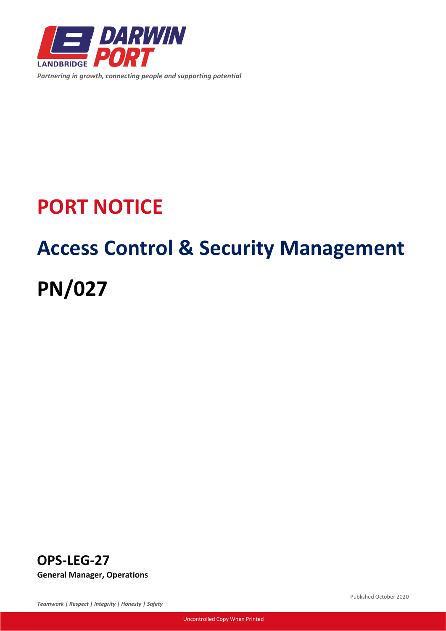

*Partnering in growth, connecting people and supporting potential*

# **PORT NOTICE**

# **Access Control & Security Management PN/027**



*Teamwork | Respect | Integrity | Honesty | Safety*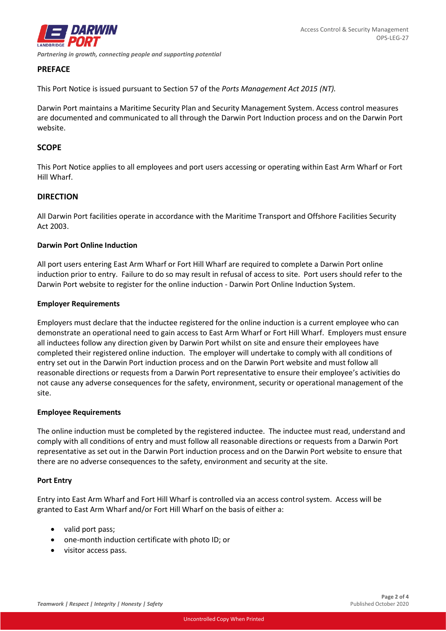

# **PREFACE**

This Port Notice is issued pursuant to Section 57 of the *Ports Management Act 2015 (NT).*

Darwin Port maintains a Maritime Security Plan and Security Management System. Access control measures are documented and communicated to all through the Darwin Port Induction process and on the Darwin Port website.

# **SCOPE**

This Port Notice applies to all employees and port users accessing or operating within East Arm Wharf or Fort Hill Wharf.

# **DIRECTION**

All Darwin Port facilities operate in accordance with the Maritime Transport and Offshore Facilities Security Act 2003.

# **Darwin Port Online Induction**

All port users entering East Arm Wharf or Fort Hill Wharf are required to complete a Darwin Port online induction prior to entry. Failure to do so may result in refusal of access to site. Port users should refer to the Darwin Port website to register for the online induction - [Darwin Port Online Induction System.](https://www.darwinport.com.au/dp-induction)

# **Employer Requirements**

Employers must declare that the inductee registered for the online induction is a current employee who can demonstrate an operational need to gain access to East Arm Wharf or Fort Hill Wharf. Employers must ensure all inductees follow any direction given by Darwin Port whilst on site and ensure their employees have completed their registered online induction. The employer will undertake to comply with all conditions of entry set out in the Darwin Port induction process and on the Darwin Port website and must follow all reasonable directions or requests from a Darwin Port representative to ensure their employee's activities do not cause any adverse consequences for the safety, environment, security or operational management of the site.

# **Employee Requirements**

The online induction must be completed by the registered inductee. The inductee must read, understand and comply with all conditions of entry and must follow all reasonable directions or requests from a Darwin Port representative as set out in the Darwin Port induction process and on the Darwin Port website to ensure that there are no adverse consequences to the safety, environment and security at the site.

#### **Port Entry**

Entry into East Arm Wharf and Fort Hill Wharf is controlled via an access control system. Access will be granted to East Arm Wharf and/or Fort Hill Wharf on the basis of either a:

- valid port pass;
- one-month induction certificate with photo ID; or
- visitor access pass.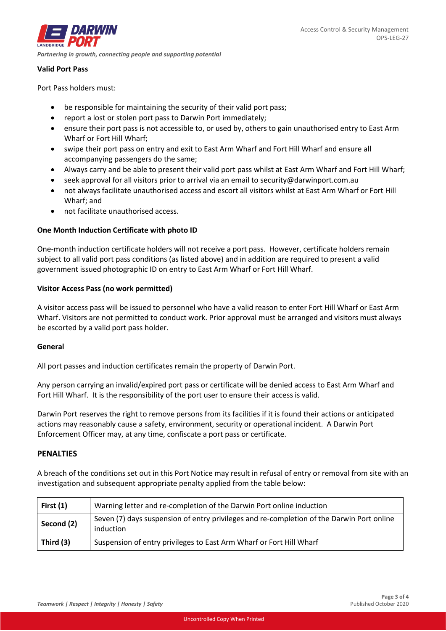*DARWIN Partnering in growth, connecting people and supporting potential*

### **Valid Port Pass**

Port Pass holders must:

- be responsible for maintaining the security of their valid port pass;
- report a lost or stolen port pass to Darwin Port immediately;
- ensure their port pass is not accessible to, or used by, others to gain unauthorised entry to East Arm Wharf or Fort Hill Wharf;
- swipe their port pass on entry and exit to East Arm Wharf and Fort Hill Wharf and ensure all accompanying passengers do the same;
- Always carry and be able to present their valid port pass whilst at East Arm Wharf and Fort Hill Wharf;
- seek approval for all visitors prior to arrival via an email t[o security@darwinport.com.au](mailto:security@darwinport.com.au)
- not always facilitate unauthorised access and escort all visitors whilst at East Arm Wharf or Fort Hill Wharf; and
- not facilitate unauthorised access.

# **One Month Induction Certificate with photo ID**

One-month induction certificate holders will not receive a port pass. However, certificate holders remain subject to all valid port pass conditions (as listed above) and in addition are required to present a valid government issued photographic ID on entry to East Arm Wharf or Fort Hill Wharf.

# **Visitor Access Pass (no work permitted)**

A visitor access pass will be issued to personnel who have a valid reason to enter Fort Hill Wharf or East Arm Wharf. Visitors are not permitted to conduct work. Prior approval must be arranged and visitors must always be escorted by a valid port pass holder.

# **General**

All port passes and induction certificates remain the property of Darwin Port.

Any person carrying an invalid/expired port pass or certificate will be denied access to East Arm Wharf and Fort Hill Wharf. It is the responsibility of the port user to ensure their access is valid.

Darwin Port reserves the right to remove persons from its facilities if it is found their actions or anticipated actions may reasonably cause a safety, environment, security or operational incident. A Darwin Port Enforcement Officer may, at any time, confiscate a port pass or certificate.

# **PENALTIES**

A breach of the conditions set out in this Port Notice may result in refusal of entry or removal from site with an investigation and subsequent appropriate penalty applied from the table below:

| First $(1)$ | Warning letter and re-completion of the Darwin Port online induction                                   |
|-------------|--------------------------------------------------------------------------------------------------------|
| Second (2)  | Seven (7) days suspension of entry privileges and re-completion of the Darwin Port online<br>induction |
| Third (3)   | Suspension of entry privileges to East Arm Wharf or Fort Hill Wharf                                    |